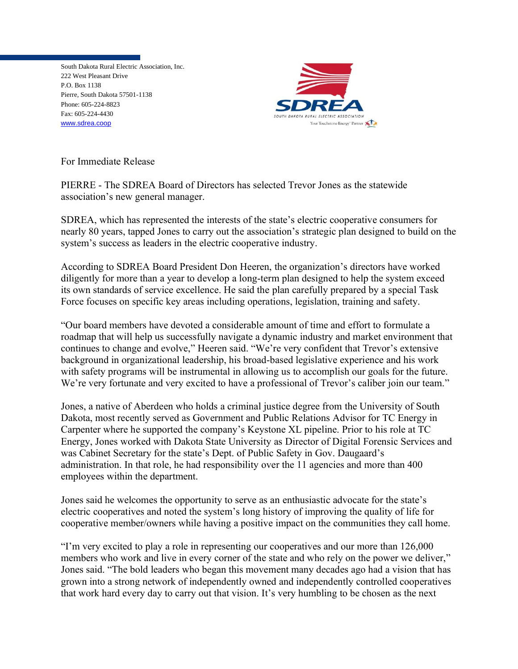South Dakota Rural Electric Association, Inc. 222 West Pleasant Drive P.O. Box 1138 Pierre, South Dakota 57501-1138 Phone: 605-224-8823 Fax: 605-224-4430 [www.sdrea.coop](http://www.sdrea.coop/)



For Immediate Release

PIERRE - The SDREA Board of Directors has selected Trevor Jones as the statewide association's new general manager.

SDREA, which has represented the interests of the state's electric cooperative consumers for nearly 80 years, tapped Jones to carry out the association's strategic plan designed to build on the system's success as leaders in the electric cooperative industry.

According to SDREA Board President Don Heeren, the organization's directors have worked diligently for more than a year to develop a long-term plan designed to help the system exceed its own standards of service excellence. He said the plan carefully prepared by a special Task Force focuses on specific key areas including operations, legislation, training and safety.

"Our board members have devoted a considerable amount of time and effort to formulate a roadmap that will help us successfully navigate a dynamic industry and market environment that continues to change and evolve," Heeren said. "We're very confident that Trevor's extensive background in organizational leadership, his broad-based legislative experience and his work with safety programs will be instrumental in allowing us to accomplish our goals for the future. We're very fortunate and very excited to have a professional of Trevor's caliber join our team."

Jones, a native of Aberdeen who holds a criminal justice degree from the University of South Dakota, most recently served as Government and Public Relations Advisor for TC Energy in Carpenter where he supported the company's Keystone XL pipeline. Prior to his role at TC Energy, Jones worked with Dakota State University as Director of Digital Forensic Services and was Cabinet Secretary for the state's Dept. of Public Safety in Gov. Daugaard's administration. In that role, he had responsibility over the 11 agencies and more than 400 employees within the department.

Jones said he welcomes the opportunity to serve as an enthusiastic advocate for the state's electric cooperatives and noted the system's long history of improving the quality of life for cooperative member/owners while having a positive impact on the communities they call home.

"I'm very excited to play a role in representing our cooperatives and our more than 126,000 members who work and live in every corner of the state and who rely on the power we deliver," Jones said. "The bold leaders who began this movement many decades ago had a vision that has grown into a strong network of independently owned and independently controlled cooperatives that work hard every day to carry out that vision. It's very humbling to be chosen as the next